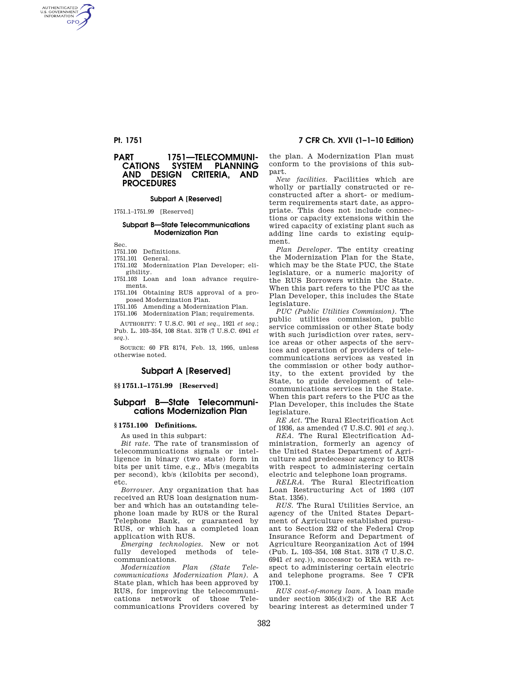AUTHENTICATED<br>U.S. GOVERNMENT<br>INFORMATION **GPO** 

# **PART 1751—TELECOMMUNI-<br>CATIONS SYSTEM PLANNING PLANNING AND DESIGN CRITERIA, AND PROCEDURES**

## **Subpart A [Reserved]**

1751.1–1751.99 [Reserved]

### **Subpart B—State Telecommunications Modernization Plan**

Sec.

1751.100 Definitions.

1751.101 General.

1751.102 Modernization Plan Developer; eligibility.

1751.103 Loan and loan advance requirements.

1751.104 Obtaining RUS approval of a proposed Modernization Plan. 1751.105 Amending a Modernization Plan.

1751.106 Modernization Plan; requirements.

AUTHORITY: 7 U.S.C. 901 *et seq.,* 1921 *et seq.*; Pub. L. 103–354, 108 Stat. 3178 (7 U.S.C. 6941 *et seq.*).

SOURCE: 60 FR 8174, Feb. 13, 1995, unless otherwise noted.

# **Subpart A [Reserved]**

## **§§ 1751.1–1751.99 [Reserved]**

## **Subpart B—State Telecommunications Modernization Plan**

#### **§ 1751.100 Definitions.**

As used in this subpart:

*Bit rate.* The rate of transmission of telecommunications signals or intelligence in binary (two state) form in bits per unit time, e.g., Mb/s (megabits per second), kb/s (kilobits per second), etc.

*Borrower.* Any organization that has received an RUS loan designation number and which has an outstanding telephone loan made by RUS or the Rural Telephone Bank, or guaranteed by RUS, or which has a completed loan application with RUS.

*Emerging technologies.* New or not fully developed methods of telecommunications.

*Modernization Plan (State Telecommunications Modernization Plan).* A State plan, which has been approved by RUS, for improving the telecommunications network of those Telecommunications Providers covered by

**Pt. 1751 7 CFR Ch. XVII (1–1–10 Edition)** 

the plan. A Modernization Plan must conform to the provisions of this subpart.

*New facilities.* Facilities which are wholly or partially constructed or reconstructed after a short- or mediumterm requirements start date, as appropriate. This does not include connections or capacity extensions within the wired capacity of existing plant such as adding line cards to existing equipment.

*Plan Developer.* The entity creating the Modernization Plan for the State, which may be the State PUC, the State legislature, or a numeric majority of the RUS Borrowers within the State. When this part refers to the PUC as the Plan Developer, this includes the State legislature

*PUC (Public Utilities Commission).* The public utilities commission, public service commission or other State body with such jurisdiction over rates, service areas or other aspects of the services and operation of providers of telecommunications services as vested in the commission or other body authority, to the extent provided by the State, to guide development of telecommunications services in the State. When this part refers to the PUC as the Plan Developer, this includes the State legislature.

*RE Act.* The Rural Electrification Act of 1936, as amended (7 U.S.C. 901 *et seq.*).

*REA.* The Rural Electrification Administration, formerly an agency of the United States Department of Agriculture and predecessor agency to RUS with respect to administering certain electric and telephone loan programs.

*RELRA.* The Rural Electrification Loan Restructuring Act of 1993 (107 Stat. 1356).

*RUS.* The Rural Utilities Service, an agency of the United States Department of Agriculture established pursuant to Section 232 of the Federal Crop Insurance Reform and Department of Agriculture Reorganization Act of 1994 (Pub. L. 103–354, 108 Stat. 3178 (7 U.S.C. 6941 *et seq.*)), successor to REA with respect to administering certain electric and telephone programs. See 7 CFR 1700.1.

*RUS cost-of-money loan.* A loan made under section 305(d)(2) of the RE Act bearing interest as determined under 7